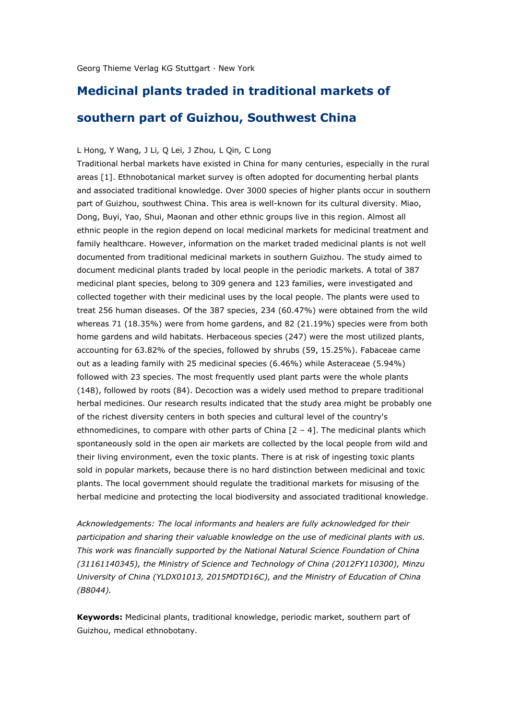## **Medicinal plants traded in traditional markets of**

## **southern part of Guizhou, Southwest China**

## L Hong*,* Y Wang*,* J Li*,* Q Lei*,* J Zhou*,* L Qin*,* C Long

Traditional herbal markets have existed in China for many centuries, especially in the rural areas [1]. Ethnobotanical market survey is often adopted for documenting herbal plants and associated traditional knowledge. Over 3000 species of higher plants occur in southern part of Guizhou, southwest China. This area is well-known for its cultural diversity. Miao, Dong, Buyi, Yao, Shui, Maonan and other ethnic groups live in this region. Almost all ethnic people in the region depend on local medicinal markets for medicinal treatment and family healthcare. However, information on the market traded medicinal plants is not well documented from traditional medicinal markets in southern Guizhou. The study aimed to document medicinal plants traded by local people in the periodic markets. A total of 387 medicinal plant species, belong to 309 genera and 123 families, were investigated and collected together with their medicinal uses by the local people. The plants were used to treat 256 human diseases. Of the 387 species, 234 (60.47%) were obtained from the wild whereas 71 (18.35%) were from home gardens, and 82 (21.19%) species were from both home gardens and wild habitats. Herbaceous species (247) were the most utilized plants, accounting for 63.82% of the species, followed by shrubs (59, 15.25%). Fabaceae came out as a leading family with 25 medicinal species (6.46%) while Asteraceae (5.94%) followed with 23 species. The most frequently used plant parts were the whole plants (148), followed by roots (84). Decoction was a widely used method to prepare traditional herbal medicines. Our research results indicated that the study area might be probably one of the richest diversity centers in both species and cultural level of the country's ethnomedicines, to compare with other parts of China  $[2 - 4]$ . The medicinal plants which spontaneously sold in the open air markets are collected by the local people from wild and their living environment, even the toxic plants. There is at risk of ingesting toxic plants sold in popular markets, because there is no hard distinction between medicinal and toxic plants. The local government should regulate the traditional markets for misusing of the herbal medicine and protecting the local biodiversity and associated traditional knowledge.

*Acknowledgements: The local informants and healers are fully acknowledged for their participation and sharing their valuable knowledge on the use of medicinal plants with us. This work was financially supported by the National Natural Science Foundation of China (31161140345), the Ministry of Science and Technology of China (2012FY110300), Minzu University of China (YLDX01013, 2015MDTD16C), and the Ministry of Education of China (B8044).*

**Keywords:** Medicinal plants, traditional knowledge, periodic market, southern part of Guizhou, medical ethnobotany.